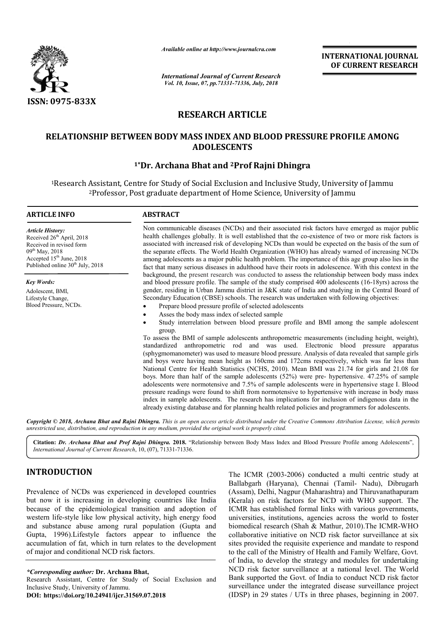

*Available online at http://www.journalcra.com*

# **RESEARCH ARTICLE**

## RELATIONSHIP BETWEEN BODY MASS INDEX AND BLOOD PRESSURE PROFILE AMONG **ADOLESCENTS**

# <sup>1</sup>\*Dr. Archana Bhat and <sup>2</sup>Prof Rajni Dhingra

|                                                                                                                                                                                                                                                                                                                                                                                                                                                                                                                                                | unuvic viime ui nup.//www.jvurnuicru.com                                                                                                                                                                                                                                                                                                                                                                                                                                                                                                                                                                                       |  | <b>INTERNATIONAL JOURNAL</b><br>OF CURRENT RESEARCH                                                                                                                                                                                                                                                                                                                                                                                                                                                                                                                                                                                                                                                                                                                                                                                                                                                                                                                                                                 |  |
|------------------------------------------------------------------------------------------------------------------------------------------------------------------------------------------------------------------------------------------------------------------------------------------------------------------------------------------------------------------------------------------------------------------------------------------------------------------------------------------------------------------------------------------------|--------------------------------------------------------------------------------------------------------------------------------------------------------------------------------------------------------------------------------------------------------------------------------------------------------------------------------------------------------------------------------------------------------------------------------------------------------------------------------------------------------------------------------------------------------------------------------------------------------------------------------|--|---------------------------------------------------------------------------------------------------------------------------------------------------------------------------------------------------------------------------------------------------------------------------------------------------------------------------------------------------------------------------------------------------------------------------------------------------------------------------------------------------------------------------------------------------------------------------------------------------------------------------------------------------------------------------------------------------------------------------------------------------------------------------------------------------------------------------------------------------------------------------------------------------------------------------------------------------------------------------------------------------------------------|--|
|                                                                                                                                                                                                                                                                                                                                                                                                                                                                                                                                                | <b>International Journal of Current Research</b><br>Vol. 10, Issue, 07, pp.71331-71336, July, 2018                                                                                                                                                                                                                                                                                                                                                                                                                                                                                                                             |  |                                                                                                                                                                                                                                                                                                                                                                                                                                                                                                                                                                                                                                                                                                                                                                                                                                                                                                                                                                                                                     |  |
| ISSN: 0975-833X                                                                                                                                                                                                                                                                                                                                                                                                                                                                                                                                |                                                                                                                                                                                                                                                                                                                                                                                                                                                                                                                                                                                                                                |  |                                                                                                                                                                                                                                                                                                                                                                                                                                                                                                                                                                                                                                                                                                                                                                                                                                                                                                                                                                                                                     |  |
|                                                                                                                                                                                                                                                                                                                                                                                                                                                                                                                                                | <b>RESEARCH ARTICLE</b>                                                                                                                                                                                                                                                                                                                                                                                                                                                                                                                                                                                                        |  |                                                                                                                                                                                                                                                                                                                                                                                                                                                                                                                                                                                                                                                                                                                                                                                                                                                                                                                                                                                                                     |  |
|                                                                                                                                                                                                                                                                                                                                                                                                                                                                                                                                                | RELATIONSHIP BETWEEN BODY MASS INDEX AND BLOOD PRESSURE PROFILE AMONG<br><b>ADOLESCENTS</b>                                                                                                                                                                                                                                                                                                                                                                                                                                                                                                                                    |  |                                                                                                                                                                                                                                                                                                                                                                                                                                                                                                                                                                                                                                                                                                                                                                                                                                                                                                                                                                                                                     |  |
|                                                                                                                                                                                                                                                                                                                                                                                                                                                                                                                                                | <sup>1</sup> *Dr. Archana Bhat and <sup>2</sup> Prof Rajni Dhingra                                                                                                                                                                                                                                                                                                                                                                                                                                                                                                                                                             |  |                                                                                                                                                                                                                                                                                                                                                                                                                                                                                                                                                                                                                                                                                                                                                                                                                                                                                                                                                                                                                     |  |
|                                                                                                                                                                                                                                                                                                                                                                                                                                                                                                                                                | <sup>1</sup> Research Assistant, Centre for Study of Social Exclusion and Inclusive Study, University of Jammu<br><sup>2</sup> Professor, Post graduate department of Home Science, University of Jammu                                                                                                                                                                                                                                                                                                                                                                                                                        |  |                                                                                                                                                                                                                                                                                                                                                                                                                                                                                                                                                                                                                                                                                                                                                                                                                                                                                                                                                                                                                     |  |
| <b>ARTICLE INFO</b>                                                                                                                                                                                                                                                                                                                                                                                                                                                                                                                            | <b>ABSTRACT</b>                                                                                                                                                                                                                                                                                                                                                                                                                                                                                                                                                                                                                |  |                                                                                                                                                                                                                                                                                                                                                                                                                                                                                                                                                                                                                                                                                                                                                                                                                                                                                                                                                                                                                     |  |
| <b>Article History:</b><br>Received 26 <sup>th</sup> April, 2018<br>Received in revised form<br>09 <sup>th</sup> May, 2018<br>Accepted 15 <sup>th</sup> June, 2018<br>Published online 30 <sup>th</sup> July, 2018                                                                                                                                                                                                                                                                                                                             |                                                                                                                                                                                                                                                                                                                                                                                                                                                                                                                                                                                                                                |  | Non communicable diseases (NCDs) and their associated risk factors have emerged as major public<br>health challenges globally. It is well established that the co-existence of two or more risk factors is<br>associated with increased risk of developing NCDs than would be expected on the basis of the sum of<br>the separate effects. The World Health Organization (WHO) has already warned of increasing NCDs<br>among adolescents as a major public health problem. The importance of this age group also lies in the<br>fact that many serious diseases in adulthood have their roots in adolescence. With this context in the                                                                                                                                                                                                                                                                                                                                                                             |  |
| <b>Key Words:</b><br>Adolescent, BMI,<br>Lifestyle Change,<br>Blood Pressure, NCDs.                                                                                                                                                                                                                                                                                                                                                                                                                                                            | background, the present research was conducted to assess the relationship between body mass index<br>and blood pressure profile. The sample of the study comprised 400 adolescents (16-18yrs) across the<br>gender, residing in Urban Jammu district in J&K state of India and studying in the Central Board of<br>Secondary Education (CBSE) schools. The research was undertaken with following objectives:<br>Prepare blood pressure profile of selected adolescents<br>Asses the body mass index of selected sample<br>Study interrelation between blood pressure profile and BMI among the sample adolescent<br>$\bullet$ |  |                                                                                                                                                                                                                                                                                                                                                                                                                                                                                                                                                                                                                                                                                                                                                                                                                                                                                                                                                                                                                     |  |
|                                                                                                                                                                                                                                                                                                                                                                                                                                                                                                                                                | group.                                                                                                                                                                                                                                                                                                                                                                                                                                                                                                                                                                                                                         |  | To assess the BMI of sample adolescents anthropometric measurements (including height, weight),<br>standardized anthropometric rod and was used. Electronic blood pressure apparatus<br>(sphygmomanometer) was used to measure blood pressure. Analysis of data revealed that sample girls<br>and boys were having mean height as 160cms and 172cms respectively, which was far less than<br>National Centre for Health Statistics (NCHS, 2010). Mean BMI was 21.74 for girls and 21.08 for<br>boys. More than half of the sample adolescents (52%) were pre- hypertensive. 47.25% of sample<br>adolescents were normotensive and 7.5% of sample adolescents were in hypertensive stage I. Blood<br>pressure readings were found to shift from normotensive to hypertensive with increase in body mass<br>index in sample adolescents. The research has implications for inclusion of indigenous data in the<br>already existing database and for planning health related policies and programmers for adolescents. |  |
|                                                                                                                                                                                                                                                                                                                                                                                                                                                                                                                                                | unrestricted use, distribution, and reproduction in any medium, provided the original work is properly cited.                                                                                                                                                                                                                                                                                                                                                                                                                                                                                                                  |  | Copyright © 2018, Archana Bhat and Rajni Dhingra. This is an open access article distributed under the Creative Commons Attribution License, which permits                                                                                                                                                                                                                                                                                                                                                                                                                                                                                                                                                                                                                                                                                                                                                                                                                                                          |  |
| International Journal of Current Research, 10, (07), 71331-71336.                                                                                                                                                                                                                                                                                                                                                                                                                                                                              |                                                                                                                                                                                                                                                                                                                                                                                                                                                                                                                                                                                                                                |  | Citation: Dr. Archana Bhat and Prof Rajni Dhingra. 2018. "Relationship between Body Mass Index and Blood Pressure Profile among Adolescents",                                                                                                                                                                                                                                                                                                                                                                                                                                                                                                                                                                                                                                                                                                                                                                                                                                                                       |  |
| <b>INTRODUCTION</b>                                                                                                                                                                                                                                                                                                                                                                                                                                                                                                                            |                                                                                                                                                                                                                                                                                                                                                                                                                                                                                                                                                                                                                                |  | The ICMR (2003-2006) conducted a multi centric study at                                                                                                                                                                                                                                                                                                                                                                                                                                                                                                                                                                                                                                                                                                                                                                                                                                                                                                                                                             |  |
| Prevalence of NCDs was experienced in developed countries<br>but now it is increasing in developing countries like India<br>because of the epidemiological transition and adoption of<br>western life-style like low physical activity, high energy food<br>and substance abuse among rural population (Gupta and<br>Gupta, 1996). Lifestyle factors appear to influence the<br>accumulation of fat, which in turn relates to the development<br>of major and conditional NCD risk factors.<br><i>*Corresponding author: Dr. Archana Bhat,</i> |                                                                                                                                                                                                                                                                                                                                                                                                                                                                                                                                                                                                                                |  | Ballabgarh (Haryana), Chennai (Tamil- Nadu), Dibrugarh<br>(Assam), Delhi, Nagpur (Maharashtra) and Thiruvanathapuram<br>(Kerala) on risk factors for NCD with WHO support. The<br>ICMR has established formal links with various governments,<br>universities, institutions, agencies across the world to foster<br>biomedical research (Shah & Mathur, 2010). The ICMR-WHO<br>collaborative initiative on NCD risk factor surveillance at six<br>sites provided the requisite experience and mandate to respond<br>to the call of the Ministry of Health and Family Welfare, Govt.<br>of India, to develop the strategy and modules for undertaking<br>NCD risk factor surveillance at a national level. The World                                                                                                                                                                                                                                                                                                 |  |
| Inclusive Study, University of Jammu.<br>DOI: https://doi.org/10.24941/ijcr.31569.07.2018                                                                                                                                                                                                                                                                                                                                                                                                                                                      | Research Assistant, Centre for Study of Social Exclusion and                                                                                                                                                                                                                                                                                                                                                                                                                                                                                                                                                                   |  | Bank supported the Govt. of India to conduct NCD risk factor<br>surveillance under the integrated disease surveillance project<br>(IDSP) in 29 states / UTs in three phases, beginning in 2007.                                                                                                                                                                                                                                                                                                                                                                                                                                                                                                                                                                                                                                                                                                                                                                                                                     |  |

# **INTRODUCTION**

**DOI: https://doi.org/10.24941/ijcr.31569.07.2018**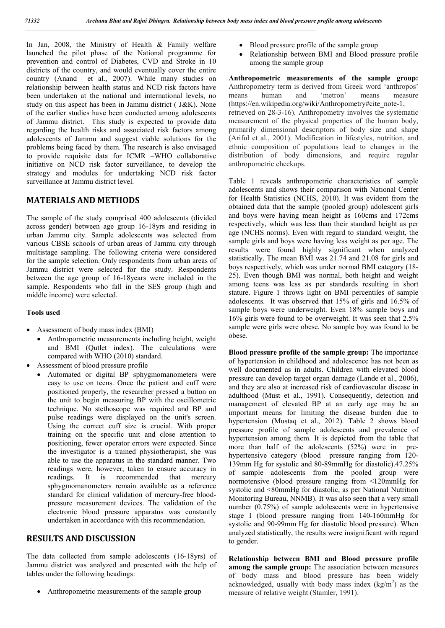In Jan, 2008, the Ministry of Health & Family welfare launched the pilot phase of the National programme for prevention and control of Diabetes, CVD and Stroke in 10 districts of the country, and would eventually cover the entire country (Anand et al., 2007). While many studies on relationship between health status and NCD risk factors have been undertaken at the national and international levels, no study on this aspect has been in Jammu district ( J&K). None of the earlier studies have been conducted among adolescents of Jammu district. This study is expected to provide data regarding the health risks and associated risk factors among adolescents of Jammu and suggest viable solutions for the problems being faced by them. The research is also envisaged to provide requisite data for ICMR –WHO collaborative initiative on NCD risk factor surveillance, to develop the strategy and modules for undertaking NCD risk factor surveillance at Jammu district level.

## **MATERIALS AND METHODS**

The sample of the study comprised 400 adolescents (divided across gender) between age group 16-18yrs and residing in urban Jammu city. Sample adolescents was selected from various CBSE schools of urban areas of Jammu city through multistage sampling. The following criteria were considered for the sample selection. Only respondents from urban areas of Jammu district were selected for the study. Respondents between the age group of 16-18years were included in the sample. Respondents who fall in the SES group (high and middle income) were selected.

#### **Tools used**

- Assessment of body mass index (BMI)
	- Anthropometric measurements including height, weight and BMI (Qutlet index). The calculations were compared with WHO (2010) standard.
- Assessment of blood pressure profile
	- Automated or digital BP sphygmomanometers were easy to use on teens. Once the patient and cuff were positioned properly, the researcher pressed a button on the unit to begin measuring BP with the oscillometric technique. No stethoscope was required and BP and pulse readings were displayed on the unit's screen. Using the correct cuff size is crucial. With proper training on the specific unit and close attention to positioning, fewer operator errors were expected. Since the investigator is a trained physiotherapist, she was able to use the apparatus in the standard manner. Two readings were, however, taken to ensure accuracy in readings. It is recommended that mercury sphygmomanometers remain available as a reference standard for clinical validation of mercury-free bloodpressure measurement devices. The validation of the electronic blood pressure apparatus was constantly undertaken in accordance with this recommendation.

## **RESULTS AND DISCUSSION**

The data collected from sample adolescents (16-18yrs) of Jammu district was analyzed and presented with the help of tables under the following headings:

Anthropometric measurements of the sample group

- Blood pressure profile of the sample group
- Relationship between BMI and Blood pressure profile among the sample group

**Anthropometric measurements of the sample group:** Anthropometry term is derived from Greek word 'anthropos' means human and 'metron' means measure (https://en.wikipedia.org/wiki/Anthropometry#cite\_note-1, retrieved on 28-3-16). Anthropometry involves the systematic measurement of the physical properties of the human body, primarily dimensional descriptors of body size and shape (Ariful et al., 2001). Modification in lifestyles, nutrition, and ethnic composition of populations lead to changes in the distribution of body dimensions, and require regular anthropometric checkups.

Table 1 reveals anthropometric characteristics of sample adolescents and shows their comparison with National Center for Health Statistics (NCHS, 2010). It was evident from the obtained data that the sample (pooled group) adolescent girls and boys were having mean height as 160cms and 172cms respectively, which was less than their standard height as per age (NCHS norms). Even with regard to standard weight, the sample girls and boys were having less weight as per age. The results were found highly significant when analyzed statistically. The mean BMI was 21.74 and 21.08 for girls and boys respectively, which was under normal BMI category (18- 25). Even though BMI was normal, both height and weight among teens was less as per standards resulting in short stature. Figure 1 throws light on BMI percentiles of sample adolescents. It was observed that 15% of girls and 16.5% of sample boys were underweight. Even 18% sample boys and 16% girls were found to be overweight. It was seen that 2.5% sample were girls were obese. No sample boy was found to be obese.

**Blood pressure profile of the sample group:** The importance of hypertension in childhood and adolescence has not been as well documented as in adults. Children with elevated blood pressure can develop target organ damage (Lande et al., 2006), and they are also at increased risk of cardiovascular disease in adulthood (Must et al., 1991). Consequently, detection and management of elevated BP at an early age may be an important means for limiting the disease burden due to hypertension (Mustaq et al., 2012). Table 2 shows blood pressure profile of sample adolescents and prevalence of hypertension among them. It is depicted from the table that more than half of the adolescents (52%) were in prehypertensive category (blood pressure ranging from 120- 139mm Hg for systolic and 80-89mmHg for diastolic).47.25% of sample adolescents from the pooled group were normotensive (blood pressure ranging from <120mmHg for systolic and <80mmHg for diastolic, as per National Nutrition Monitoring Bureau, NNMB). It was also seen that a very small number (0.75%) of sample adolescents were in hypertensive stage I (blood pressure ranging from 140-160mmHg for systolic and 90-99mm Hg for diastolic blood pressure). When analyzed statistically, the results were insignificant with regard to gender.

**Relationship between BMI and Blood pressure profile among the sample group:** The association between measures of body mass and blood pressure has been widely acknowledged, usually with body mass index  $(kg/m<sup>2</sup>)$  as the measure of relative weight (Stamler, 1991).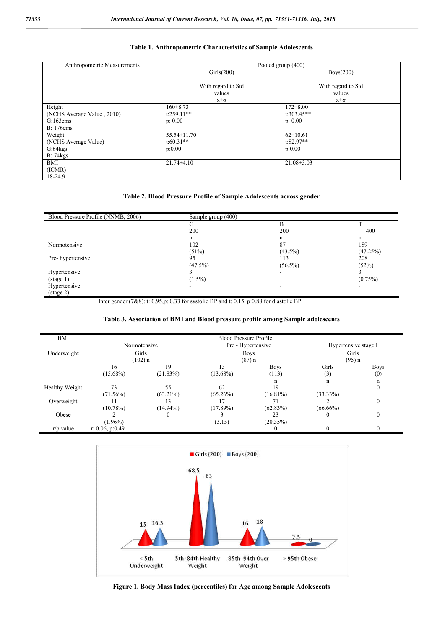### **Table 1. Anthropometric Characteristics of Sample Adolescents**

| Anthropometric Measurements | Pooled group (400)   |                      |  |
|-----------------------------|----------------------|----------------------|--|
|                             | Girls(200)           | Boys(200)            |  |
|                             |                      |                      |  |
|                             | With regard to Std   | With regard to Std   |  |
|                             | values               | values               |  |
|                             | $\bar{x} \pm \sigma$ | $\bar{x} \pm \sigma$ |  |
| Height                      | $160 \pm 8.73$       | $172 \pm 8.00$       |  |
| (NCHS Average Value, 2010)  | $t:259.11**$         | $t:303.45**$         |  |
| G:163cms                    | p: 0.00              | p: 0.00              |  |
| <b>B</b> : 176cms           |                      |                      |  |
| Weight                      | $55.54 \pm 11.70$    | $62 \pm 10.61$       |  |
| (NCHS Average Value)        | $t:60.31**$          | $t:82.97**$          |  |
| G:64kgs                     | p:0.00               | p:0.00               |  |
| B: 74kgs                    |                      |                      |  |
| <b>BMI</b>                  | $21.74 \pm 4.10$     | $21.08 \pm 3.03$     |  |
| (ICMR)                      |                      |                      |  |
| 18-24.9                     |                      |                      |  |

#### **Table 2. Blood Pressure Profile of Sample Adolescents across gender**

| Blood Pressure Profile (NNMB, 2006) | Sample group (400) |            |            |
|-------------------------------------|--------------------|------------|------------|
|                                     | G                  | B          |            |
|                                     | 200                | 200        | 400        |
|                                     | n                  | n          | n          |
| Normotensive                        | 102                | 87         | 189        |
|                                     | (51%)              | $(43.5\%)$ | (47.25%)   |
| Pre-hypertensive                    | 95                 | 113        | 208        |
|                                     | (47.5%)            | $(56.5\%)$ | (52%)      |
| Hypertensive                        |                    |            |            |
| $(\text{stage } 1)$                 | $(1.5\%)$          |            | $(0.75\%)$ |
| Hypertensive                        |                    |            | -          |
| (stage 2)                           |                    |            |            |

Inter gender (7&8): t: 0.95,p: 0.33 for systolic BP and t: 0.15, p:0.88 for diastolic BP

#### **Table 3. Association of BMI and Blood pressure profile among Sample adolescents**

| BMI<br>Pre - Hypertensive<br>Normotensive<br>Hypertensive stage I<br>Girls<br>Girls<br>Underweight<br><b>Boys</b><br>(102) n<br>(95) n<br>(87) n<br>Girls<br>16<br>19<br>13<br><b>Boys</b><br><b>Boys</b><br>(21.83%)<br>$(15.68\%)$<br>$(13.68\%)$<br>(113)<br>(3)<br>(0)<br>n<br>n<br>n<br>62<br>19<br>55<br>Healthy Weight<br>73<br>$\mathbf{0}$<br>$(63.21\%)$<br>$(16.81\%)$<br>$(71.56\%)$<br>$(65.26\%)$<br>$(33.33\%)$<br>$\mathbf{0}$<br>Overweight<br>13<br>71 |  |             |                               |             |          |             |  |  |
|--------------------------------------------------------------------------------------------------------------------------------------------------------------------------------------------------------------------------------------------------------------------------------------------------------------------------------------------------------------------------------------------------------------------------------------------------------------------------|--|-------------|-------------------------------|-------------|----------|-------------|--|--|
|                                                                                                                                                                                                                                                                                                                                                                                                                                                                          |  |             | <b>Blood Pressure Profile</b> |             |          |             |  |  |
|                                                                                                                                                                                                                                                                                                                                                                                                                                                                          |  |             |                               |             |          |             |  |  |
|                                                                                                                                                                                                                                                                                                                                                                                                                                                                          |  |             |                               |             |          |             |  |  |
|                                                                                                                                                                                                                                                                                                                                                                                                                                                                          |  |             |                               |             |          |             |  |  |
|                                                                                                                                                                                                                                                                                                                                                                                                                                                                          |  |             |                               |             |          |             |  |  |
|                                                                                                                                                                                                                                                                                                                                                                                                                                                                          |  |             |                               |             |          |             |  |  |
|                                                                                                                                                                                                                                                                                                                                                                                                                                                                          |  |             |                               |             |          |             |  |  |
|                                                                                                                                                                                                                                                                                                                                                                                                                                                                          |  |             |                               |             |          |             |  |  |
|                                                                                                                                                                                                                                                                                                                                                                                                                                                                          |  |             |                               |             |          |             |  |  |
|                                                                                                                                                                                                                                                                                                                                                                                                                                                                          |  |             |                               |             |          |             |  |  |
|                                                                                                                                                                                                                                                                                                                                                                                                                                                                          |  | $(10.78\%)$ | $(14.94\%)$                   | $(17.89\%)$ | (62.83%) | $(66.66\%)$ |  |  |
| Obese<br>$\theta$<br>23<br>$\theta$<br>$\theta$                                                                                                                                                                                                                                                                                                                                                                                                                          |  |             |                               |             |          |             |  |  |
| $(1.96\%)$<br>(3.15)<br>(20.35%)                                                                                                                                                                                                                                                                                                                                                                                                                                         |  |             |                               |             |          |             |  |  |
| r: 0.06, p:0.49<br>$r/p$ value                                                                                                                                                                                                                                                                                                                                                                                                                                           |  |             |                               |             |          |             |  |  |



**Figure 1. Body Mass Index (percentiles) for Age among Sample Adolescents**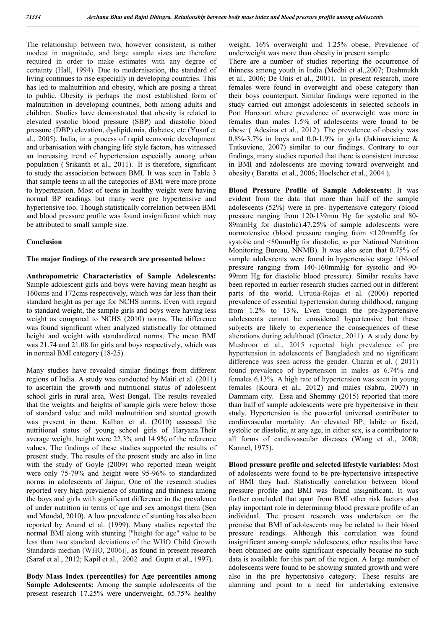The relationship between two, however consistent, is rather modest in magnitude, and large sample sizes are therefore required in order to make estimates with any degree of certainty (Hall, 1994). Due to modernisation, the standard of living continues to rise especially in developing countries. This has led to malnutrition and obesity, which are posing a threat to public. Obesity is perhaps the most established form of malnutrition in developing countries, both among adults and children. Studies have demonstrated that obesity is related to elevated systolic blood pressure (SBP) and diastolic blood pressure (DBP) elevation, dyslipidemia, diabetes, etc (Yusuf et al., 2005). India, in a process of rapid economic development and urbanisation with changing life style factors, has witnessed an increasing trend of hypertension especially among urban population ( Srikanth et al., 2011). It is therefore, significant to study the association between BMI. It was seen in Table 3 that sample teens in all the categories of BMI were more prone to hypertension. Most of teens in healthy weight were having normal BP readings but many were pre hypertensive and hypertensive too. Though statistically correlation between BMI and blood pressure profile was found insignificant which may be attributed to small sample size.

#### **Conclusion**

#### **The major findings of the research are presented below:**

**Anthropometric Characteristics of Sample Adolescents:** Sample adolescent girls and boys were having mean height as 160cms and 172cms respectively, which was far less than their standard height as per age for NCHS norms. Even with regard to standard weight, the sample girls and boys were having less weight as compared to NCHS (2010) norms. The difference was found significant when analyzed statistically for obtained height and weight with standardized norms. The mean BMI was 21.74 and 21.08 for girls and boys respectively, which was in normal BMI category (18-25).

Many studies have revealed similar findings from different regions of India. A study was conducted by Maiti et al. (2011) to ascertain the growth and nutritional status of adolescent school girls in rural area, West Bengal. The results revealed that the weights and heights of sample girls were below those of standard value and mild malnutrition and stunted growth was present in them. Kalhan et al. (2010) assessed the nutritional status of young school girls of Haryana.Their average weight, height were 22.3% and 14.9% of the reference values. The findings of these studies supported the results of present study. The results of the present study are also in line with the study of Goyle (2009) who reported mean weight were only 75-79% and height were 95-96% to standardized norms in adolescents of Jaipur. One of the research studies reported very high prevalence of stunting and thinness among the boys and girls with significant difference in the prevalence of under nutrition in terms of age and sex amongst them (Sen and Mondal, 2010). A low prevalence of stunting has also been reported by Anand et al. (1999). Many studies reported the normal BMI along with stunting ["height for age" value to be less than two standard deviations of the WHO Child Growth Standards median (WHO, 2006)], as found in present research (Saraf et al., 2012; Kapil et al., 2002 and Gupta et al., 1997).

**Body Mass Index (percentiles) for Age percentiles among Sample Adolescents:** Among the sample adolescents of the present research 17.25% were underweight, 65.75% healthy weight, 16% overweight and 1.25% obese. Prevalence of underweight was more than obesity in present sample.

There are a number of studies reporting the occurrence of thinness among youth in India (Medhi et al.,2007; Deshmukh et al., 2006; De Onis et al., 2001). In present research, more females were found in overweight and obese category than their boys counterpart. Similar findings were reported in the study carried out amongst adolescents in selected schools in Port Harcourt where prevalence of overweight was more in females than males 1.5% of adolescents were found to be obese ( Adesina et al., 2012). The prevalence of obesity was 0.8%-3.7% in boys and 0.0-1.9% in girls (Jakimaviciene  $\&$ Tutkuviene, 2007) similar to our findings. Contrary to our findings, many studies reported that there is consistent increase in BMI and adolescents are moving toward overweight and obesity ( Baratta et al., 2006; Hoelscher et al., 2004 ).

**Blood Pressure Profile of Sample Adolescents:** It was evident from the data that more than half of the sample adolescents (52%) were in pre- hypertensive category (blood pressure ranging from 120-139mm Hg for systolic and 80- 89mmHg for diastolic).47.25% of sample adolescents were normotensive (blood pressure ranging from <120mmHg for systolic and <80mmHg for diastolic, as per National Nutrition Monitoring Bureau, NNMB). It was also seen that 0.75% of sample adolescents were found in hypertensive stage 1(blood pressure ranging from 140-160mmHg for systolic and 90- 99mm Hg for diastolic blood pressure). Similar results have been reported in earlier research studies carried out in different parts of the world. Urrutia-Rojas et al. (2006) reported prevalence of essential hypertension during childhood, ranging from 1.2% to 13%. Even though the pre-hypertensive adolescents cannot be considered hypertensive but these subjects are likely to experience the consequences of these alterations during adulthood (Graeter, 2011). A study done by Mushroor et al., 2015 reported high prevalence of pre hypertension in adolescents of Bangladesh and no significant difference was seen across the gender. Charan et al. ( 2011) found prevalence of hypertension in males as 6.74% and females 6.13%. A high rate of hypertension was seen in young females (Koura et al., 2012) and males (Sabra, 2007) in Dammam city. Essa and Shemmy (2015) reported that more than half of sample adolescents were pre hypertensive in their study. Hypertension is the powerful universal contributor to cardiovascular mortality. An elevated BP, labile or fixed, systolic or diastolic, at any age, in either sex, is a contributor to all forms of cardiovascular diseases (Wang et al., 2008; Kannel, 1975).

**Blood pressure profile and selected lifestyle variables:** Most of adolescents were found to be pre-hypertensive irrespective of BMI they had. Statistically correlation between blood pressure profile and BMI was found insignificant. It was further concluded that apart from BMI other risk factors also play important role in determining blood pressure profile of an individual. The present research was undertaken on the premise that BMI of adolescents may be related to their blood pressure readings. Although this correlation was found insignificant among sample adolescents, other results that have been obtained are quite significant especially because no such data is available for this part of the region. A large number of adolescents were found to be showing stunted growth and were also in the pre hypertensive category. These results are alarming and point to a need for undertaking extensive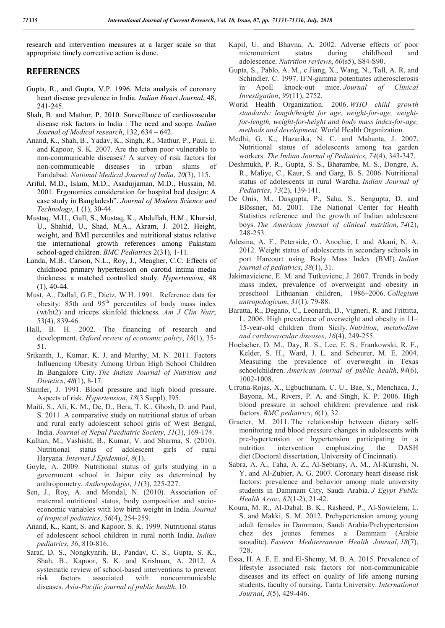research and intervention measures at a larger scale so that appropriate timely corrective action is done.

### **REFERENCES**

- Gupta, R., and Gupta, V.P. 1996. Meta analysis of coronary heart disease prevalence in India. *Indian Heart Journal*, 48, 241-245.
- Shah, B. and Mathur, P. 2010. Surveillance of cardiovascular disease risk factors in India : The need and scope*. Indian Journal of Medical research*, 132, 634 – 642.
- Anand, K., Shah, B., Yadav, K., Singh, R., Mathur, P., Paul, E. and Kapoor, S. K. 2007. Are the urban poor vulnerable to non-communicable diseases? A survey of risk factors for non-communicable diseases in urban slums of Faridabad. *National Medical Journal of India*, *20*(3), 115.
- Ariful, M.D., Islam, M.D., Asadujjaman, M.D., Hussain, M. 2001. Ergonomics consideration for hospital bed design: A case study in Bangladesh". *Journal of Modern Science and Technology*, 1 (1), 30-44.
- Mustaq, M.U., Gull, S., Mustaq, K., Abdullah, H.M., Khursid, U., Shahid, U., Shad, M.A., Akram, J. 2012. Height, weight, and BMI percentiles and nutritional status relative the international growth references among Pakistani school-aged children. *BMC Pediatrics* 2(31), 1-11.
- Landa, M.B., Carson, N.L., Roy, J., Meagher, C.C. Effects of childhood primary hypertension on carotid intima media thickness: a matched controlled study. *Hypertension*, 48  $(1), 40-44.$
- Must, A., Dallal, G.E., Dietz, W.H. 1991. Reference data for obesity: 85th and  $95<sup>th</sup>$  percentiles of body mass index (wt/ht2) and triceps skinfold thickness. *Am J Clin Nutr*; 53(4), 839-46.
- Hall, B. H. 2002. The financing of research and development. *Oxford review of economic policy*, *18*(1), 35- 51.
- Srikanth, J., Kumar, K. J. and Murthy, M. N. 2011. Factors Influencing Obesity Among Urban High School Children In Bangalore City. *The Indian Journal of Nutrition and Dietetics*, *48*(1), 8-17.
- Stamler, J. 1991. Blood pressure and high blood pressure. Aspects of risk. *Hypertension*, *18*(3 Suppl), I95.
- Maiti, S., Ali, K. M., De, D., Bera, T. K., Ghosh, D. and Paul, S. 2011. A comparative study on nutritional status of urban and rural early adolescent school girls of West Bengal, India. *Journal of Nepal Paediatric Society*, *31*(3), 169-174.
- Kalhan, M., Vashisht, B., Kumar, V. and Sharma, S. (2010). Nutritional status of adolescent girls of rural Haryana. *Internet J Epidemiol*, *8*(1).
- Goyle, A. 2009. Nutritional status of girls studying in a government school in Jaipur city as determined by anthropometry. *Anthropologist*, *11*(3), 225-227.
- Sen, J., Roy, A. and Mondal, N. (2010). Association of maternal nutritional status, body composition and socioeconomic variables with low birth weight in India. *Journal of tropical pediatrics*, *56*(4), 254-259.
- Anand, K., Kant, S. and Kapoor, S. K. 1999. Nutritional status of adolescent school children in rural north India. *Indian pediatrics*, *36*, 810-816.
- Saraf, D. S., Nongkynrih, B., Pandav, C. S., Gupta, S. K., Shah, B., Kapoor, S. K. and Krishnan, A. 2012. A systematic review of school-based interventions to prevent risk factors associated with noncommunicable diseases. *Asia-Pacific journal of public health*, 10.
- Kapil, U. and Bhavna, A. 2002. Adverse effects of poor micronutrient status during childhood and adolescence. *Nutrition reviews*, *60*(s5), S84-S90.
- Gupta, S., Pablo, A. M., c Jiang, X., Wang, N., Tall, A. R. and Schindler, C. 1997. IFN-gamma potentiates atherosclerosis in ApoE knock-out mice. *Journal of Clinical Investigation*, *99*(11), 2752.
- World Health Organization. 2006. *WHO child growth standards: length/height for age, weight-for-age, weightfor-length, weight-for-height and body mass index-for-age, methods and development*. World Health Organization.
- Medhi, G. K., Hazarika, N. C. and Mahanta, J. 2007. Nutritional status of adolescents among tea garden workers. *The Indian Journal of Pediatrics*, *74*(4), 343-347.
- Deshmukh, P. R., Gupta, S. S., Bharambe, M. S., Dongre, A. R., Maliye, C., Kaur, S. and Garg, B. S. 2006. Nutritional status of adolescents in rural Wardha. *Indian Journal of Pediatrics*, *73*(2), 139-141.
- De Onis, M., Dasgupta, P., Saha, S., Sengupta, D. and Blössner, M. 2001. The National Center for Health Statistics reference and the growth of Indian adolescent boys. *The American journal of clinical nutrition*, *74*(2), 248-253.
- Adesina, A. F., Peterside, O., Anochie, I. and Akani, N. A. 2012. Weight status of adolescents in secondary schools in port Harcourt using Body Mass Index (BMI). *Italian journal of pediatrics*, *38*(1), 31.
- Jakimaviciene, E. M. and Tutkuviene, J. 2007. Trends in body mass index, prevalence of overweight and obesity in preschool Lithuanian children, 1986–2006. *Collegium antropologicum*, *31*(1), 79-88.
- Baratta, R., Degano, C., Leonardi, D., Vigneri, R. and Frittitta, L. 2006. High prevalence of overweight and obesity in 11– 15-year-old children from Sicily. *Nutrition, metabolism and cardiovascular diseases*, *16*(4), 249-255.
- Hoelscher, D. M., Day, R. S., Lee, E. S., Frankowski, R. F., Kelder, S. H., Ward, J. L. and Scheurer, M. E. 2004. Measuring the prevalence of overweight in Texas schoolchildren. *American journal of public health*, *94*(6), 1002-1008.
- Urrutia-Rojas, X., Egbuchunam, C. U., Bae, S., Menchaca, J., Bayona, M., Rivers, P. A. and Singh, K. P. 2006. High blood pressure in school children: prevalence and risk factors. *BMC pediatrics*, *6*(1), 32.
- Graeter, M. 2011. The relationship between dietary selfmonitoring and blood pressure changes in adolescents with pre-hypertension or hypertension participating in a nutrition intervention emphasizing the DASH diet (Doctoral dissertation, University of Cincinnati).
- Sabra, A. A., Taha, A. Z., Al-Sebiany, A. M., Al-Kurashi, N. Y. and Al-Zubier, A. G. 2007. Coronary heart disease risk factors: prevalence and behavior among male university students in Dammam City, Saudi Arabia. *J Egypt Public Health Assoc*, *82*(1-2), 21-42.
- Koura, M. R., Al-Dabal, B. K., Rasheed, P., Al-Sowielem, L. S. and Makki, S. M. 2012. Prehypertension among young adult females in Dammam, Saudi Arabia/Prehypertension chez des jeunes femmes a Dammam (Arabie saoudite). *Eastern Mediterranean Health Journal*, *18*(7), 728.
- Essa, H. A. E. E. and El-Shemy, M. B. A. 2015. Prevalence of lifestyle associated risk factors for non-communicable diseases and its effect on quality of life among nursing students, faculty of nursing, Tanta University. *International Journal*, *3*(5), 429-446.